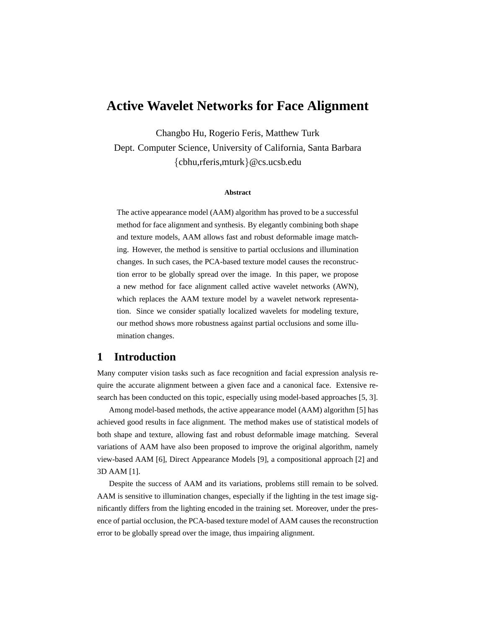# **Active Wavelet Networks for Face Alignment**

Changbo Hu, Rogerio Feris, Matthew Turk

Dept. Computer Science, University of California, Santa Barbara {cbhu,rferis,mturk}@cs.ucsb.edu

#### **Abstract**

The active appearance model (AAM) algorithm has proved to be a successful method for face alignment and synthesis. By elegantly combining both shape and texture models, AAM allows fast and robust deformable image matching. However, the method is sensitive to partial occlusions and illumination changes. In such cases, the PCA-based texture model causes the reconstruction error to be globally spread over the image. In this paper, we propose a new method for face alignment called active wavelet networks (AWN), which replaces the AAM texture model by a wavelet network representation. Since we consider spatially localized wavelets for modeling texture, our method shows more robustness against partial occlusions and some illumination changes.

### **1 Introduction**

Many computer vision tasks such as face recognition and facial expression analysis require the accurate alignment between a given face and a canonical face. Extensive research has been conducted on this topic, especially using model-based approaches [5, 3].

Among model-based methods, the active appearance model (AAM) algorithm [5] has achieved good results in face alignment. The method makes use of statistical models of both shape and texture, allowing fast and robust deformable image matching. Several variations of AAM have also been proposed to improve the original algorithm, namely view-based AAM [6], Direct Appearance Models [9], a compositional approach [2] and 3D AAM [1].

Despite the success of AAM and its variations, problems still remain to be solved. AAM is sensitive to illumination changes, especially if the lighting in the test image significantly differs from the lighting encoded in the training set. Moreover, under the presence of partial occlusion, the PCA-based texture model of AAM causes the reconstruction error to be globally spread over the image, thus impairing alignment.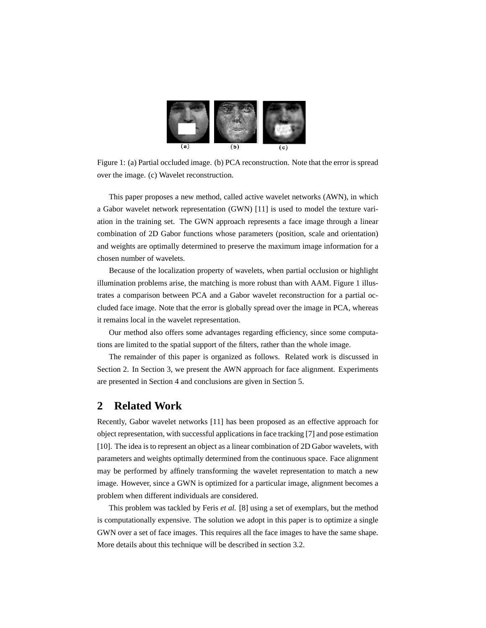

Figure 1: (a) Partial occluded image. (b) PCA reconstruction. Note that the error is spread over the image. (c) Wavelet reconstruction.

This paper proposes a new method, called active wavelet networks (AWN), in which a Gabor wavelet network representation (GWN) [11] is used to model the texture variation in the training set. The GWN approach represents a face image through a linear combination of 2D Gabor functions whose parameters (position, scale and orientation) and weights are optimally determined to preserve the maximum image information for a chosen number of wavelets.

Because of the localization property of wavelets, when partial occlusion or highlight illumination problems arise, the matching is more robust than with AAM. Figure 1 illustrates a comparison between PCA and a Gabor wavelet reconstruction for a partial occluded face image. Note that the error is globally spread over the image in PCA, whereas it remains local in the wavelet representation.

Our method also offers some advantages regarding efficiency, since some computations are limited to the spatial support of the filters, rather than the whole image.

The remainder of this paper is organized as follows. Related work is discussed in Section 2. In Section 3, we present the AWN approach for face alignment. Experiments are presented in Section 4 and conclusions are given in Section 5.

### **2 Related Work**

Recently, Gabor wavelet networks [11] has been proposed as an effective approach for object representation, with successful applications in face tracking [7] and pose estimation [10]. The idea is to represent an object as a linear combination of 2D Gabor wavelets, with parameters and weights optimally determined from the continuous space. Face alignment may be performed by affinely transforming the wavelet representation to match a new image. However, since a GWN is optimized for a particular image, alignment becomes a problem when different individuals are considered.

This problem was tackled by Feris *et al.* [8] using a set of exemplars, but the method is computationally expensive. The solution we adopt in this paper is to optimize a single GWN over a set of face images. This requires all the face images to have the same shape. More details about this technique will be described in section 3.2.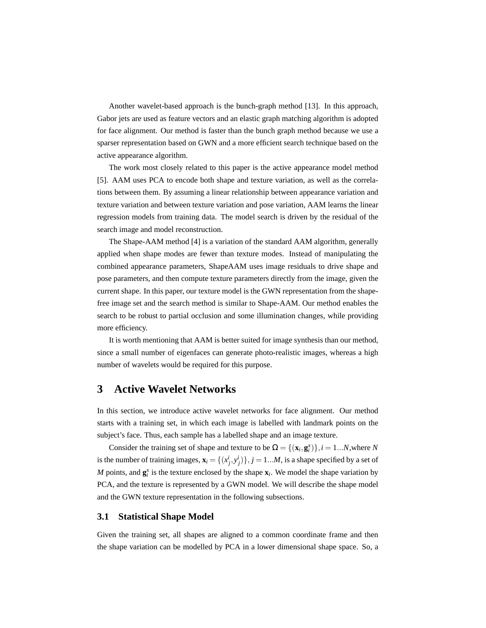Another wavelet-based approach is the bunch-graph method [13]. In this approach, Gabor jets are used as feature vectors and an elastic graph matching algorithm is adopted for face alignment. Our method is faster than the bunch graph method because we use a sparser representation based on GWN and a more efficient search technique based on the active appearance algorithm.

The work most closely related to this paper is the active appearance model method [5]. AAM uses PCA to encode both shape and texture variation, as well as the correlations between them. By assuming a linear relationship between appearance variation and texture variation and between texture variation and pose variation, AAM learns the linear regression models from training data. The model search is driven by the residual of the search image and model reconstruction.

The Shape-AAM method [4] is a variation of the standard AAM algorithm, generally applied when shape modes are fewer than texture modes. Instead of manipulating the combined appearance parameters, ShapeAAM uses image residuals to drive shape and pose parameters, and then compute texture parameters directly from the image, given the current shape. In this paper, our texture model is the GWN representation from the shapefree image set and the search method is similar to Shape-AAM. Our method enables the search to be robust to partial occlusion and some illumination changes, while providing more efficiency.

It is worth mentioning that AAM is better suited for image synthesis than our method, since a small number of eigenfaces can generate photo-realistic images, whereas a high number of wavelets would be required for this purpose.

### **3 Active Wavelet Networks**

In this section, we introduce active wavelet networks for face alignment. Our method starts with a training set, in which each image is labelled with landmark points on the subject's face. Thus, each sample has a labelled shape and an image texture.

Consider the training set of shape and texture to be  $\Omega = \{(\mathbf{x}_i, \mathbf{g}_i^{\mathbf{x}})\}\$ ,  $i = 1...N$ , where *N* is the number of training images,  $\mathbf{x}_i = \{(x_j^i, y_j^i)\}, j = 1...M$ , is a shape specified by a set of *M* points, and  $\mathbf{g}_i^x$  is the texture enclosed by the shape  $\mathbf{x}_i$ . We model the shape variation by PCA, and the texture is represented by a GWN model. We will describe the shape model and the GWN texture representation in the following subsections.

#### **3.1 Statistical Shape Model**

Given the training set, all shapes are aligned to a common coordinate frame and then the shape variation can be modelled by PCA in a lower dimensional shape space. So, a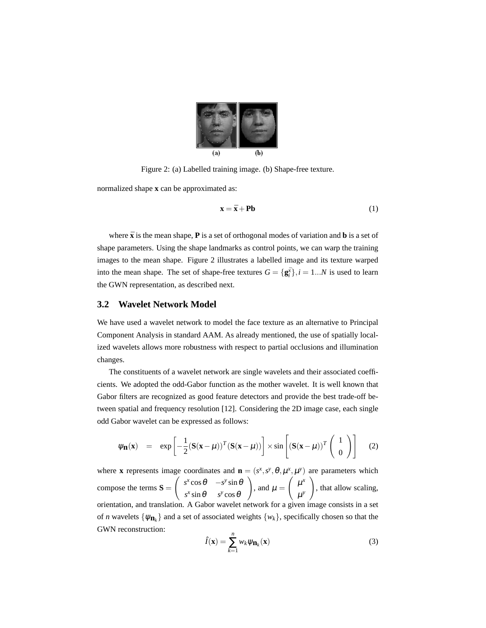

Figure 2: (a) Labelled training image. (b) Shape-free texture.

normalized shape **x** can be approximated as:

$$
\mathbf{x} = \bar{\mathbf{x}} + \mathbf{Pb} \tag{1}
$$

where  $\bar{x}$  is the mean shape,  $P$  is a set of orthogonal modes of variation and  $b$  is a set of shape parameters. Using the shape landmarks as control points, we can warp the training images to the mean shape. Figure 2 illustrates a labelled image and its texture warped into the mean shape. The set of shape-free textures  $G = {\bf{g}}_i^{\bar{x}}$ ,  $i = 1...N$  is used to learn the GWN representation, as described next.

#### **3.2 Wavelet Network Model**

We have used a wavelet network to model the face texture as an alternative to Principal Component Analysis in standard AAM. As already mentioned, the use of spatially localized wavelets allows more robustness with respect to partial occlusions and illumination changes.

The constituents of a wavelet network are single wavelets and their associated coefficients. We adopted the odd-Gabor function as the mother wavelet. It is well known that Gabor filters are recognized as good feature detectors and provide the best trade-off between spatial and frequency resolution [12]. Considering the 2D image case, each single odd Gabor wavelet can be expressed as follows:

$$
\psi_{\mathbf{n}}(\mathbf{x}) = \exp\left[-\frac{1}{2}(\mathbf{S}(\mathbf{x}-\mu))^T(\mathbf{S}(\mathbf{x}-\mu))\right] \times \sin\left[\left(\mathbf{S}(\mathbf{x}-\mu)\right)^T \begin{pmatrix} 1\\ 0 \end{pmatrix}\right]
$$
 (2)

where **x** represents image coordinates and  $\mathbf{n} = (s^x, s^y, \theta, \mu^x, \mu^y)$  are parameters which compose the terms  $S =$ ge  $s^x$  cos  $\theta$  −*s<sup>y</sup>* sin  $\theta$  $s^x$  sin  $\theta$  *s*<sup>*y*</sup> cos  $\theta$  $\bar{z}$ , and  $\mu =$  $\ddot{\phantom{a}}$  $\mu^x$  $\mu^y$ art<br>\ , that allow scaling, orientation, and translation. A Gabor wavelet network for a given image consists in a set of *n* wavelets  $\{\psi_{n_k}\}\$  and a set of associated weights  $\{w_k\}\$ , specifically chosen so that the GWN reconstruction:

$$
\hat{I}(\mathbf{x}) = \sum_{k=1}^{n} w_k \psi_{\mathbf{n}_k}(\mathbf{x})
$$
\n(3)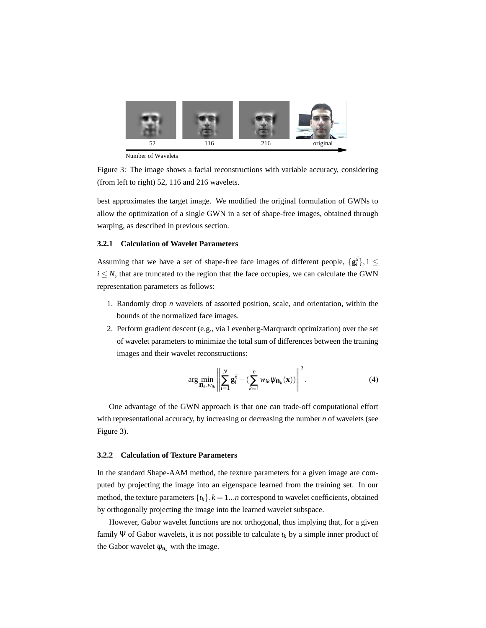

Number of Wavelets

Figure 3: The image shows a facial reconstructions with variable accuracy, considering (from left to right) 52, 116 and 216 wavelets.

best approximates the target image. We modified the original formulation of GWNs to allow the optimization of a single GWN in a set of shape-free images, obtained through warping, as described in previous section.

#### **3.2.1 Calculation of Wavelet Parameters**

Assuming that we have a set of shape-free face images of different people,  $\{g_i^{\bar{x}}\}, 1 \leq$  $i \leq N$ , that are truncated to the region that the face occupies, we can calculate the GWN representation parameters as follows:

- 1. Randomly drop *n* wavelets of assorted position, scale, and orientation, within the bounds of the normalized face images.
- 2. Perform gradient descent (e.g., via Levenberg-Marquardt optimization) over the set of wavelet parameters to minimize the total sum of differences between the training images and their wavelet reconstructions:

$$
\arg\min_{\mathbf{n}_k, w_{ik}} \left\| \sum_{i=1}^N \mathbf{g}_i^{\bar{x}} - \left( \sum_{k=1}^n w_{ik} \psi_{\mathbf{n}_k}(\mathbf{x}) \right) \right\|^2.
$$
 (4)

One advantage of the GWN approach is that one can trade-off computational effort with representational accuracy, by increasing or decreasing the number *n* of wavelets (see Figure 3).

#### **3.2.2 Calculation of Texture Parameters**

In the standard Shape-AAM method, the texture parameters for a given image are computed by projecting the image into an eigenspace learned from the training set. In our method, the texture parameters  $\{t_k\}$ ,  $k = 1...n$  correspond to wavelet coefficients, obtained by orthogonally projecting the image into the learned wavelet subspace.

However, Gabor wavelet functions are not orthogonal, thus implying that, for a given family Ψ of Gabor wavelets, it is not possible to calculate  $t_k$  by a simple inner product of the Gabor wavelet  $\psi_{n_k}$  with the image.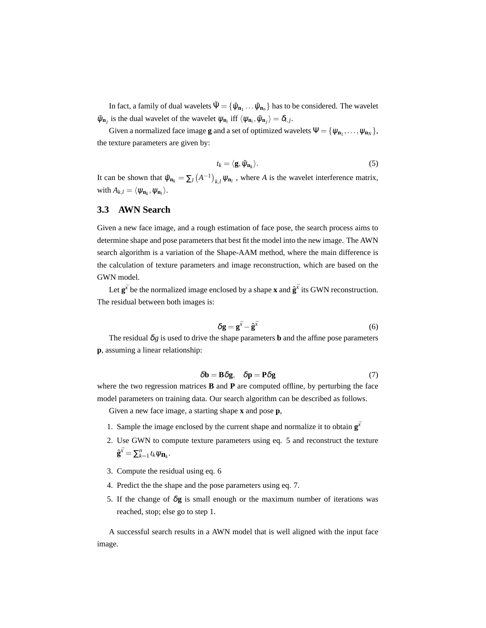In fact, a family of dual wavelets  $\tilde{\Psi} = \{\tilde{\psi}_{\bf n_1}\dots\tilde{\psi}_{\bf n_n}\}$  has to be considered. The wavelet  $\tilde{\psi}_{\mathbf{n}_j}$  is the dual wavelet of the wavelet  $\psi_{\mathbf{n}_i}$  iff  $\langle \psi_{\mathbf{n}_i}, \tilde{\psi}_{\mathbf{n}_j} \rangle = \delta_{i,j}$ .

Given a normalized face image **g** and a set of optimized wavelets  $\Psi = {\psi_{n_1}, \ldots, \psi_{n_N}}$ , the texture parameters are given by:

$$
t_k = \langle \mathbf{g}, \tilde{\psi}_{\mathbf{n}_k} \rangle. \tag{5}
$$

It can be shown that  $\tilde{\psi}_{n_k} = \sum_l ($  $A^{-1}$ )  $\psi_{\mathbf{n}_l}$ , where *A* is the wavelet interference matrix, with  $A_{k,l} = \langle \psi_{n_k}, \psi_{n_l} \rangle$ .

### **3.3 AWN Search**

Given a new face image, and a rough estimation of face pose, the search process aims to determine shape and pose parameters that best fit the model into the new image. The AWN search algorithm is a variation of the Shape-AAM method, where the main difference is the calculation of texture parameters and image reconstruction, which are based on the GWN model.

Let  $\mathbf{g}^{\bar{x}}$  be the normalized image enclosed by a shape **x** and  $\hat{\mathbf{g}}^{\bar{x}}$  its GWN reconstruction. The residual between both images is:

$$
\delta \mathbf{g} = \mathbf{g}^{\bar{x}} - \hat{\mathbf{g}}^{\bar{x}} \tag{6}
$$

The residual  $\delta g$  is used to drive the shape parameters **b** and the affine pose parameters **p**, assuming a linear relationship:

$$
\delta \mathbf{b} = \mathbf{B} \delta \mathbf{g}, \quad \delta \mathbf{p} = \mathbf{P} \delta \mathbf{g} \tag{7}
$$

where the two regression matrices **B** and **P** are computed offline, by perturbing the face model parameters on training data. Our search algorithm can be described as follows.

Given a new face image, a starting shape **x** and pose **p**,

- 1. Sample the image enclosed by the current shape and normalize it to obtain  $g^{\bar{x}}$
- 2. Use GWN to compute texture parameters using eq. 5 and reconstruct the texture  $\hat{\mathbf{g}}^{\bar{x}} = \sum_{k=1}^n t_k \psi_{\mathbf{n}_k}$ .
- 3. Compute the residual using eq. 6
- 4. Predict the the shape and the pose parameters using eq. 7.
- 5. If the change of  $\delta g$  is small enough or the maximum number of iterations was reached, stop; else go to step 1.

A successful search results in a AWN model that is well aligned with the input face image.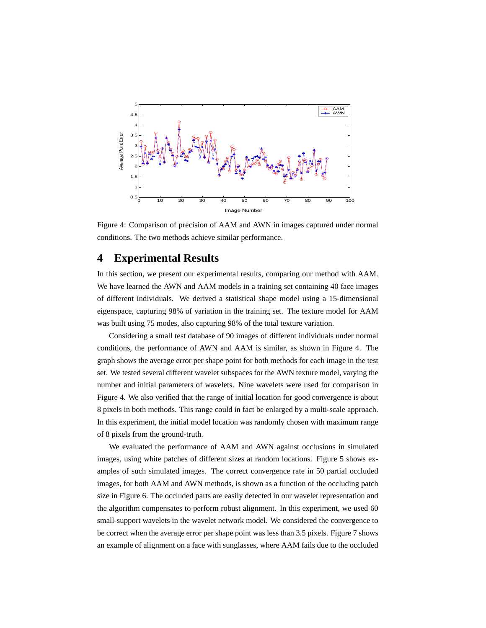

Figure 4: Comparison of precision of AAM and AWN in images captured under normal conditions. The two methods achieve similar performance.

### **4 Experimental Results**

In this section, we present our experimental results, comparing our method with AAM. We have learned the AWN and AAM models in a training set containing 40 face images of different individuals. We derived a statistical shape model using a 15-dimensional eigenspace, capturing 98% of variation in the training set. The texture model for AAM was built using 75 modes, also capturing 98% of the total texture variation.

Considering a small test database of 90 images of different individuals under normal conditions, the performance of AWN and AAM is similar, as shown in Figure 4. The graph shows the average error per shape point for both methods for each image in the test set. We tested several different wavelet subspaces for the AWN texture model, varying the number and initial parameters of wavelets. Nine wavelets were used for comparison in Figure 4. We also verified that the range of initial location for good convergence is about 8 pixels in both methods. This range could in fact be enlarged by a multi-scale approach. In this experiment, the initial model location was randomly chosen with maximum range of 8 pixels from the ground-truth.

We evaluated the performance of AAM and AWN against occlusions in simulated images, using white patches of different sizes at random locations. Figure 5 shows examples of such simulated images. The correct convergence rate in 50 partial occluded images, for both AAM and AWN methods, is shown as a function of the occluding patch size in Figure 6. The occluded parts are easily detected in our wavelet representation and the algorithm compensates to perform robust alignment. In this experiment, we used 60 small-support wavelets in the wavelet network model. We considered the convergence to be correct when the average error per shape point was less than 3.5 pixels. Figure 7 shows an example of alignment on a face with sunglasses, where AAM fails due to the occluded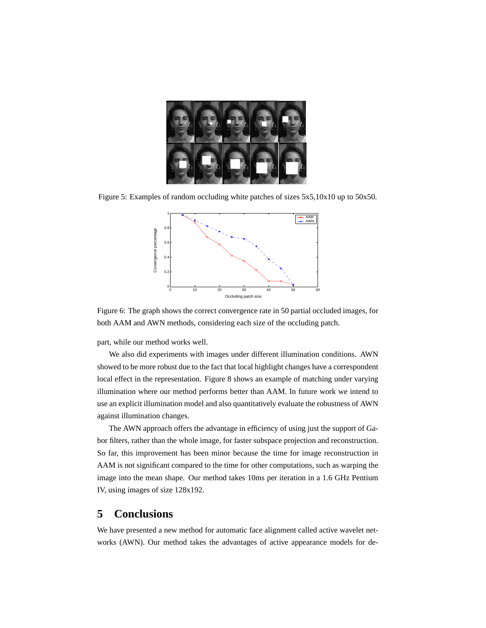

Figure 5: Examples of random occluding white patches of sizes 5x5,10x10 up to 50x50.



Figure 6: The graph shows the correct convergence rate in 50 partial occluded images, for both AAM and AWN methods, considering each size of the occluding patch.

part, while our method works well.

We also did experiments with images under different illumination conditions. AWN showed to be more robust due to the fact that local highlight changes have a correspondent local effect in the representation. Figure 8 shows an example of matching under varying illumination where our method performs better than AAM. In future work we intend to use an explicit illumination model and also quantitatively evaluate the robustness of AWN against illumination changes.

The AWN approach offers the advantage in efficiency of using just the support of Gabor filters, rather than the whole image, for faster subspace projection and reconstruction. So far, this improvement has been minor because the time for image reconstruction in AAM is not significant compared to the time for other computations, such as warping the image into the mean shape. Our method takes 10ms per iteration in a 1.6 GHz Pentium IV, using images of size 128x192.

### **5 Conclusions**

We have presented a new method for automatic face alignment called active wavelet networks (AWN). Our method takes the advantages of active appearance models for de-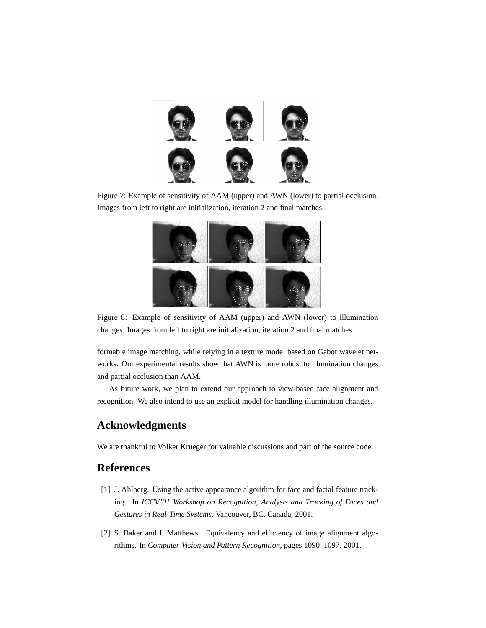

Figure 7: Example of sensitivity of AAM (upper) and AWN (lower) to partial occlusion. Images from left to right are initialization, iteration 2 and final matches.



Figure 8: Example of sensitivity of AAM (upper) and AWN (lower) to illumination changes. Images from left to right are initialization, iteration 2 and final matches.

formable image matching, while relying in a texture model based on Gabor wavelet networks. Our experimental results show that AWN is more robust to illumination changes and partial occlusion than AAM.

As future work, we plan to extend our approach to view-based face alignment and recognition. We also intend to use an explicit model for handling illumination changes.

# **Acknowledgments**

We are thankful to Volker Krueger for valuable discussions and part of the source code.

# **References**

- [1] J. Ahlberg. Using the active appearance algorithm for face and facial feature tracking. In *ICCV'01 Workshop on Recognition, Analysis and Tracking of Faces and Gestures in Real-Time Systems*, Vancouver, BC, Canada, 2001.
- [2] S. Baker and I. Matthews. Equivalency and efficiency of image alignment algorithms. In *Computer Vision and Pattern Recognition*, pages 1090–1097, 2001.